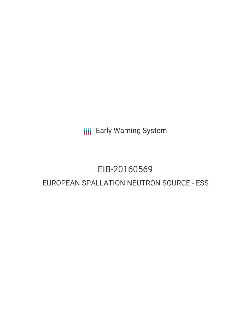**III** Early Warning System

# EIB-20160569 EUROPEAN SPALLATION NEUTRON SOURCE - ESS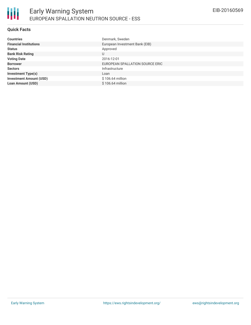

#### **Quick Facts**

| <b>Countries</b>               | Denmark, Sweden                 |
|--------------------------------|---------------------------------|
| <b>Financial Institutions</b>  | European Investment Bank (EIB)  |
| <b>Status</b>                  | Approved                        |
| <b>Bank Risk Rating</b>        | U                               |
| <b>Voting Date</b>             | 2016-12-01                      |
| <b>Borrower</b>                | EUROPEAN SPALLATION SOURCE ERIC |
| <b>Sectors</b>                 | Infrastructure                  |
| <b>Investment Type(s)</b>      | Loan                            |
| <b>Investment Amount (USD)</b> | $$106.64$ million               |
| <b>Loan Amount (USD)</b>       | \$106.64 million                |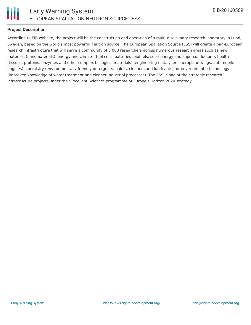

#### **Project Description**

According to EIB website, the project will be the construction and operation of a multi-disciplinary research laboratory in Lund, Sweden, based on the world's most powerful neutron source. The European Spallation Source (ESS) will create a pan-European research infrastructure that will serve a community of 5 000 researchers across numerous research areas such as new materials (nanomaterials), energy and climate (fuel cells, batteries, biofuels, solar energy and superconductors), health (tissues, proteins, enzymes and other complex biological materials), engineering (catalysers, aeroplane wings, automobile engines), chemistry (environmentally friendly detergents, paints, cleaners and lubricants), or environmental technology (improved knowledge of water treatment and cleaner industrial processes). The ESS is one of the strategic research infrastructure projects under the "Excellent Science" programme of Europe's Horizon 2020 strategy.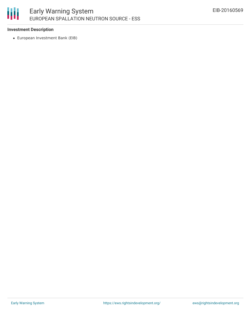# 朋

## **Investment Description**

European Investment Bank (EIB)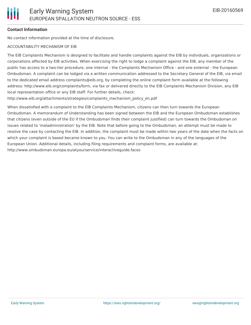### **Contact Information**

No contact information provided at the time of disclosure.

#### ACCOUNTABILITY MECHANISM OF EIB

The EIB Complaints Mechanism is designed to facilitate and handle complaints against the EIB by individuals, organizations or corporations affected by EIB activities. When exercising the right to lodge a complaint against the EIB, any member of the public has access to a two-tier procedure, one internal - the Complaints Mechanism Office - and one external - the European Ombudsman. A complaint can be lodged via a written communication addressed to the Secretary General of the EIB, via email to the dedicated email address complaints@eib.org, by completing the online complaint form available at the following address: http://www.eib.org/complaints/form, via fax or delivered directly to the EIB Complaints Mechanism Division, any EIB local representation office or any EIB staff. For further details, check:

http://www.eib.org/attachments/strategies/complaints\_mechanism\_policy\_en.pdf

When dissatisfied with a complaint to the EIB Complaints Mechanism, citizens can then turn towards the European Ombudsman. A memorandum of Understanding has been signed between the EIB and the European Ombudsman establishes that citizens (even outside of the EU if the Ombudsman finds their complaint justified) can turn towards the Ombudsman on issues related to 'maladministration' by the EIB. Note that before going to the Ombudsman, an attempt must be made to resolve the case by contacting the EIB. In addition, the complaint must be made within two years of the date when the facts on which your complaint is based became known to you. You can write to the Ombudsman in any of the languages of the European Union. Additional details, including filing requirements and complaint forms, are available at: http://www.ombudsman.europa.eu/atyourservice/interactiveguide.faces